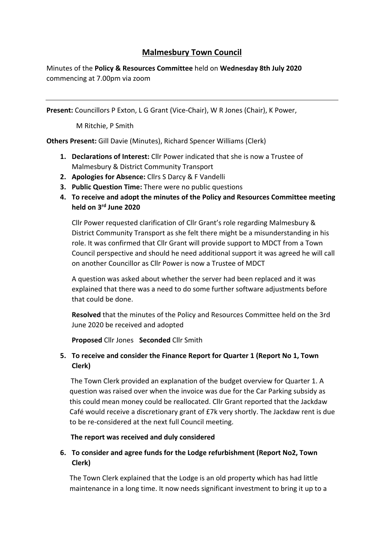# **Malmesbury Town Council**

Minutes of the **Policy & Resources Committee** held on **Wednesday 8th July 2020** commencing at 7.00pm via zoom

**Present:** Councillors P Exton, L G Grant (Vice-Chair), W R Jones (Chair), K Power,

M Ritchie, P Smith

**Others Present:** Gill Davie (Minutes), Richard Spencer Williams (Clerk)

- **1. Declarations of Interest:** Cllr Power indicated that she is now a Trustee of Malmesbury & District Community Transport
- **2. Apologies for Absence:** Cllrs S Darcy & F Vandelli
- **3. Public Question Time:** There were no public questions
- **4. To receive and adopt the minutes of the Policy and Resources Committee meeting held on 3 rd June 2020**

Cllr Power requested clarification of Cllr Grant's role regarding Malmesbury & District Community Transport as she felt there might be a misunderstanding in his role. It was confirmed that Cllr Grant will provide support to MDCT from a Town Council perspective and should he need additional support it was agreed he will call on another Councillor as Cllr Power is now a Trustee of MDCT

A question was asked about whether the server had been replaced and it was explained that there was a need to do some further software adjustments before that could be done.

**Resolved** that the minutes of the Policy and Resources Committee held on the 3rd June 2020 be received and adopted

**Proposed** Cllr Jones **Seconded** Cllr Smith

## **5. To receive and consider the Finance Report for Quarter 1 (Report No 1, Town Clerk)**

The Town Clerk provided an explanation of the budget overview for Quarter 1. A question was raised over when the invoice was due for the Car Parking subsidy as this could mean money could be reallocated. Cllr Grant reported that the Jackdaw Café would receive a discretionary grant of £7k very shortly. The Jackdaw rent is due to be re-considered at the next full Council meeting.

### **The report was received and duly considered**

## **6. To consider and agree funds for the Lodge refurbishment (Report No2, Town Clerk)**

The Town Clerk explained that the Lodge is an old property which has had little maintenance in a long time. It now needs significant investment to bring it up to a